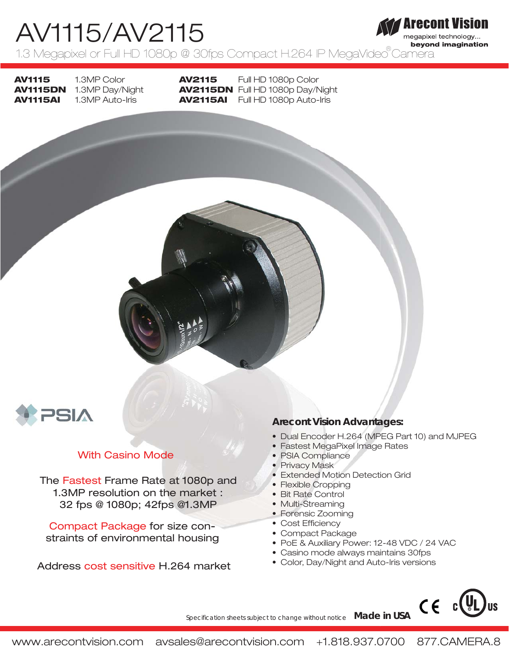#### Arecont Vision AV1115/AV2115 megapixel technology... beyond imagination 1.3 Megapixel or Full HD 1080p @ 30fps Compact H.264 IP MegaVideo Camera

**AV1115 AV1115AI** 

**AV1115DN** 1.3MP Day/Night 1.3MP Color 1.3MP Auto-Iris

**AV2115 AV2115DN** Full HD 1080p Day/Night **AV2115AI**  Full HD 1080p Auto-Iris Full HD 1080p Color



# With Casino Mode

The Fastest Frame Rate at 1080p and 1.3MP resolution on the market : 32 fps @ 1080p; 42fps @1.3MP

Compact Package for size constraints of environmental housing

Address cost sensitive H.264 market • Color, Day/Night and Auto-Iris versions

# **Arecont Vision Advantages:**

- Dual Encoder H.264 (MPEG Part 10) and MJPEG
- Fastest MegaPixel Image Rates
- PSIA Compliance
- Privacy Mask
- Extended Motion Detection Grid
- Flexible Cropping
- Bit Rate Control
- Multi-Streaming
- Forensic Zooming
- Cost Efficiency
- Compact Package

*Learn more about our products at www.arecontvision.com more about products atw Specification sheets subject to change without notice Made in USA*

• PoE & Auxiliary Power: 12-48 VDC / 24 VAC

CE

- Casino mode always maintains 30fps
-